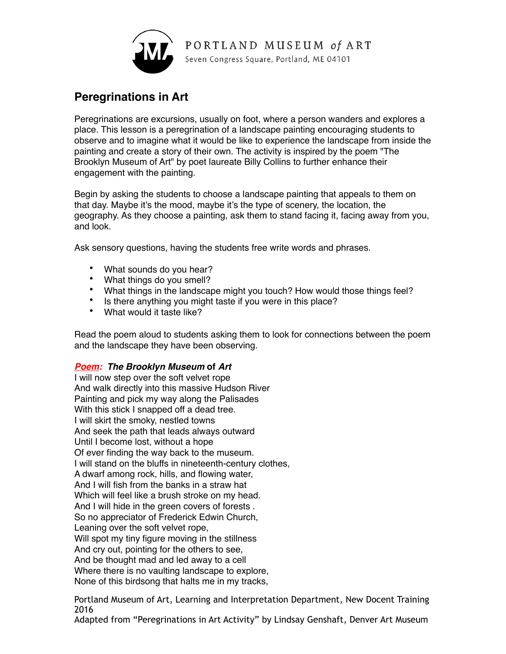

## **Peregrinations in Art**

Peregrinations are excursions, usually on foot, where a person wanders and explores a place. This lesson is a peregrination of a landscape painting encouraging students to observe and to imagine what it would be like to experience the landscape from inside the painting and create a story of their own. The activity is inspired by the poem "The Brooklyn Museum of Art" by poet laureate Billy Collins to further enhance their engagement with the painting.

Begin by asking the students to choose a landscape painting that appeals to them on that day. Maybe it's the mood, maybe it's the type of scenery, the location, the geography. As they choose a painting, ask them to stand facing it, facing away from you, and look.

Ask sensory questions, having the students free write words and phrases.

- What sounds do you hear?
- What things do you smell?
- What things in the landscape might you touch? How would those things feel?
- Is there anything you might taste if you were in this place?
- What would it taste like?

Read the poem aloud to students asking them to look for connections between the poem and the landscape they have been observing.

## *Poem: The Brooklyn Museum* **of** *Art*

I will now step over the soft velvet rope And walk directly into this massive Hudson River Painting and pick my way along the Palisades With this stick I snapped off a dead tree. I will skirt the smoky, nestled towns And seek the path that leads always outward Until I become lost, without a hope Of ever finding the way back to the museum. I will stand on the bluffs in nineteenth-century clothes, A dwarf among rock, hills, and flowing water, And I will fish from the banks in a straw hat Which will feel like a brush stroke on my head. And I will hide in the green covers of forests . So no appreciator of Frederick Edwin Church, Leaning over the soft velvet rope, Will spot my tiny figure moving in the stillness And cry out, pointing for the others to see, And be thought mad and led away to a cell Where there is no vaulting landscape to explore, None of this birdsong that halts me in my tracks,

Portland Museum of Art, Learning and Interpretation Department, New Docent Training 2016

Adapted from "Peregrinations in Art Activity" by Lindsay Genshaft, Denver Art Museum